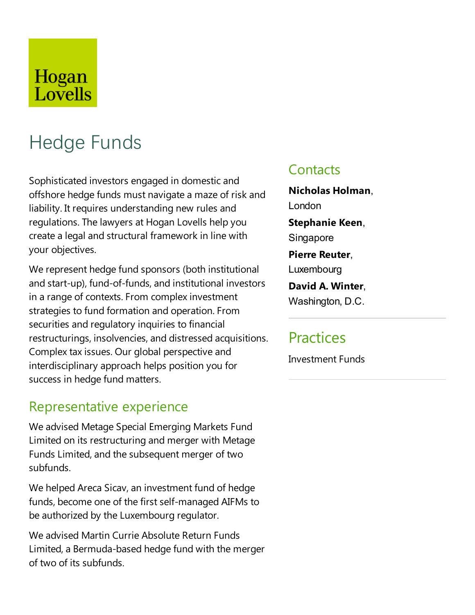# Hogan Lovells

# Hedge Funds

Sophisticated investors engaged in domestic and offshore hedge funds must navigate a maze of risk and liability. It requires understanding new rules and regulations. The lawyers at Hogan Lovells help you create a legal and structural framework in line with your objectives.

We represent hedge fund sponsors (both institutional and start-up), fund-of-funds, and institutional investors in a range of contexts. From complex investment strategies to fund formation and operation. From securities and regulatory inquiries to financial restructurings, insolvencies, and distressed acquisitions. Complex tax issues. Our global perspective and interdisciplinary approach helps position you for success in hedge fund matters.

#### Representative experience

We advised Metage Special Emerging Markets Fund Limited on its restructuring and merger with Metage Funds Limited, and the subsequent merger of two subfunds.

We helped Areca Sicav, an investment fund of hedge funds, become one of the first self-managed AIFMs to be authorized by the Luxembourg regulator.

We advised Martin Currie Absolute Return Funds Limited, a Bermuda-based hedge fund with the merger of two of its subfunds.

#### **Contacts**

**Nicholas Holman**, London

**Stephanie Keen**, Singapore

**Pierre Reuter**, Luxembourg

**David A. Winter**, Washington, D.C.

## **Practices**

**Investment Funds**